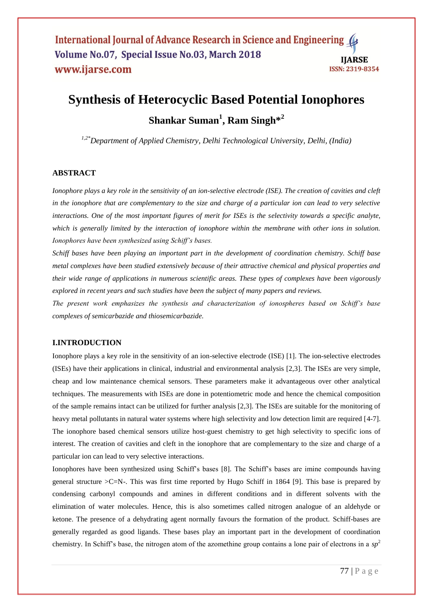International Journal of Advance Research in Science and Engineering ( Volume No.07, Special Issue No.03, March 2018 **IIARSE** www.ijarse.com **ISSN: 2319-8354** 

# **Synthesis of Heterocyclic Based Potential Ionophores Shankar Suman<sup>1</sup> , Ram Singh\* 2**

*1,2\*Department of Applied Chemistry, Delhi Technological University, Delhi, (India)*

# **ABSTRACT**

*Ionophore plays a key role in the sensitivity of an ion-selective electrode (ISE). The creation of cavities and cleft in the ionophore that are complementary to the size and charge of a particular ion can lead to very selective interactions. One of the most important figures of merit for ISEs is the selectivity towards a specific analyte, which is generally limited by the interaction of ionophore within the membrane with other ions in solution. Ionophores have been synthesized using Schiff's bases.*

*Schiff bases have been playing an important part in the development of coordination chemistry. Schiff base metal complexes have been studied extensively because of their attractive chemical and physical properties and their wide range of applications in numerous scientific areas. These types of complexes have been vigorously explored in recent years and such studies have been the subject of many papers and reviews.*

*The present work emphasizes the synthesis and characterization of ionospheres based on Schiff's base complexes of semicarbazide and thiosemicarbazide.* 

## **I.INTRODUCTION**

Ionophore plays a key role in the sensitivity of an ion-selective electrode (ISE) [1]. The ion-selective electrodes (ISEs) have their applications in clinical, industrial and environmental analysis [2,3]. The ISEs are very simple, cheap and low maintenance chemical sensors. These parameters make it advantageous over other analytical techniques. The measurements with ISEs are done in potentiometric mode and hence the chemical composition of the sample remains intact can be utilized for further analysis [2,3]. The ISEs are suitable for the monitoring of heavy metal pollutants in natural water systems where high selectivity and low detection limit are required [4-7]. The ionophore based chemical sensors utilize host-guest chemistry to get high selectivity to specific ions of interest. The creation of cavities and cleft in the ionophore that are complementary to the size and charge of a particular ion can lead to very selective interactions.

Ionophores have been synthesized using Schiff's bases [8]. The Schiff's bases are imine compounds having general structure  $\geq C=N$ -. This was first time reported by Hugo Schiff in 1864 [9]. This base is prepared by condensing carbonyl compounds and amines in different conditions and in different solvents with the elimination of water molecules. Hence, this is also sometimes called nitrogen analogue of an aldehyde or ketone. The presence of a dehydrating agent normally favours the formation of the product. Schiff-bases are generally regarded as good ligands. These bases play an important part in the development of coordination chemistry. In Schiff's base, the nitrogen atom of the azomethine group contains a lone pair of electrons in a  $sp<sup>2</sup>$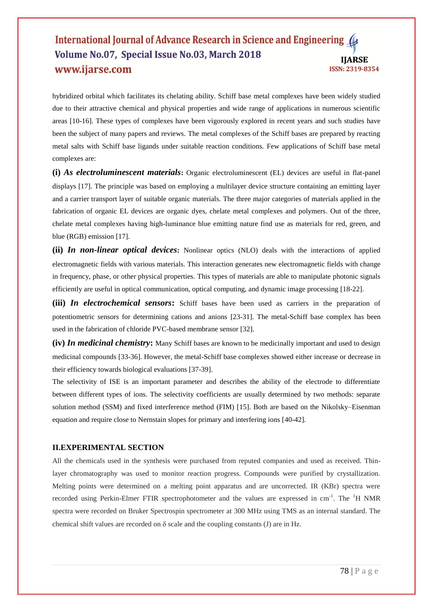# International Journal of Advance Research in Science and Engineering Volume No.07, Special Issue No.03, March 2018 **IIARSE** www.ijarse.com **ISSN: 2319-8354**

hybridized orbital which facilitates its chelating ability. Schiff base metal complexes have been widely studied due to their attractive chemical and physical properties and wide range of applications in numerous scientific areas [10-16]. These types of complexes have been vigorously explored in recent years and such studies have been the subject of many papers and reviews. The metal complexes of the Schiff bases are prepared by reacting metal salts with Schiff base ligands under suitable reaction conditions. Few applications of Schiff base metal complexes are:

**(i)** *As electroluminescent materials***:** Organic electroluminescent (EL) devices are useful in flat-panel displays [17]. The principle was based on employing a multilayer device structure containing an emitting layer and a carrier transport layer of suitable organic materials. The three major categories of materials applied in the fabrication of organic EL devices are organic dyes, chelate metal complexes and polymers. Out of the three, chelate metal complexes having high-luminance blue emitting nature find use as materials for red, green, and blue (RGB) emission [17].

**(ii)** *In non-linear optical devices***:** Nonlinear optics (NLO) deals with the interactions of applied electromagnetic fields with various materials. This interaction generates new electromagnetic fields with change in frequency, phase, or other physical properties. This types of materials are able to manipulate photonic signals efficiently are useful in optical communication, optical computing, and dynamic image processing [18-22].

(iii) In electrochemical sensors: Schiff bases have been used as carriers in the preparation of potentiometric sensors for determining cations and anions [23-31]. The metal-Schiff base complex has been used in the fabrication of chloride PVC-based membrane sensor [32].

**(iv)** *In medicinal chemistry***:** Many Schiff bases are known to be medicinally important and used to design medicinal compounds [33-36]. However, the metal-Schiff base complexes showed either increase or decrease in their efficiency towards biological evaluations [37-39].

The selectivity of ISE is an important parameter and describes the ability of the electrode to differentiate between different types of ions. The selectivity coefficients are usually determined by two methods: separate solution method (SSM) and fixed interference method (FIM) [15]. Both are based on the Nikolsky–Eisenman equation and require close to Nernstain slopes for primary and interfering ions [40-42].

# **II.EXPERIMENTAL SECTION**

All the chemicals used in the synthesis were purchased from reputed companies and used as received. Thinlayer chromatography was used to monitor reaction progress. Compounds were purified by crystallization. Melting points were determined on a melting point apparatus and are uncorrected. IR (KBr) spectra were recorded using Perkin-Elmer FTIR spectrophotometer and the values are expressed in cm<sup>-1</sup>. The <sup>1</sup>H NMR spectra were recorded on Bruker Spectrospin spectrometer at 300 MHz using TMS as an internal standard. The chemical shift values are recorded on  $\delta$  scale and the coupling constants (J) are in Hz.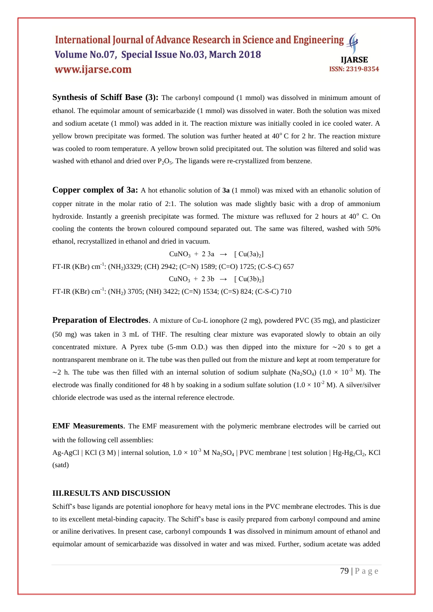## International Journal of Advance Research in Science and Engineering Volume No.07, Special Issue No.03, March 2018 **IIARSE** www.ijarse.com **ISSN: 2319-8354**

**Synthesis of Schiff Base (3):** The carbonyl compound (1 mmol) was dissolved in minimum amount of ethanol. The equimolar amount of semicarbazide (1 mmol) was dissolved in water. Both the solution was mixed and sodium acetate (1 mmol) was added in it. The reaction mixture was initially cooled in ice cooled water. A yellow brown precipitate was formed. The solution was further heated at 40°C for 2 hr. The reaction mixture was cooled to room temperature. A yellow brown solid precipitated out. The solution was filtered and solid was washed with ethanol and dried over  $P_2O_5$ . The ligands were re-crystallized from benzene.

**Copper complex of 3a:** A hot ethanolic solution of **3a** (1 mmol) was mixed with an ethanolic solution of copper nitrate in the molar ratio of 2:1. The solution was made slightly basic with a drop of ammonium hydroxide. Instantly a greenish precipitate was formed. The mixture was refluxed for 2 hours at  $40^{\circ}$  C. On cooling the contents the brown coloured compound separated out. The same was filtered, washed with 50% ethanol, recrystallized in ethanol and dried in vacuum.

 $CuNO<sub>3</sub> + 23a \rightarrow [Cu(3a)<sub>2</sub>]$ FT-IR (KBr) cm<sup>-1</sup>: (NH<sub>2</sub>)3329; (CH) 2942; (C=N) 1589; (C=O) 1725; (C-S-C) 657  $CuNO<sub>3</sub> + 23b \rightarrow [Cu(3b)<sub>2</sub>]$ FT-IR (KBr) cm<sup>-1</sup>: (NH<sub>2</sub>) 3705; (NH) 3422; (C=N) 1534; (C=S) 824; (C-S-C) 710

**Preparation of Electrodes**. A mixture of Cu-L ionophore (2 mg), powdered PVC (35 mg), and plasticizer (50 mg) was taken in 3 mL of THF. The resulting clear mixture was evaporated slowly to obtain an oily concentrated mixture. A Pyrex tube (5-mm O.D.) was then dipped into the mixture for ∼20 s to get a nontransparent membrane on it. The tube was then pulled out from the mixture and kept at room temperature for ~2 h. The tube was then filled with an internal solution of sodium sulphate (Na<sub>2</sub>SO<sub>4</sub>) (1.0 × 10<sup>-3</sup> M). The electrode was finally conditioned for 48 h by soaking in a sodium sulfate solution  $(1.0 \times 10^{-2}$  M). A silver/silver chloride electrode was used as the internal reference electrode.

**EMF Measurements**. The EMF measurement with the polymeric membrane electrodes will be carried out with the following cell assemblies:

 $Ag-AgCl$  | KCl (3 M) | internal solution,  $1.0 \times 10^{-3}$  M Na<sub>2</sub>SO<sub>4</sub> | PVC membrane | test solution | Hg-Hg<sub>2</sub>Cl<sub>2</sub>, KCl (satd)

#### **III.RESULTS AND DISCUSSION**

Schiff's base ligands are potential ionophore for heavy metal ions in the PVC membrane electrodes. This is due to its excellent metal-binding capacity. The Schiff's base is easily prepared from carbonyl compound and amine or aniline derivatives. In present case, carbonyl compounds **1** was dissolved in minimum amount of ethanol and equimolar amount of semicarbazide was dissolved in water and was mixed. Further, sodium acetate was added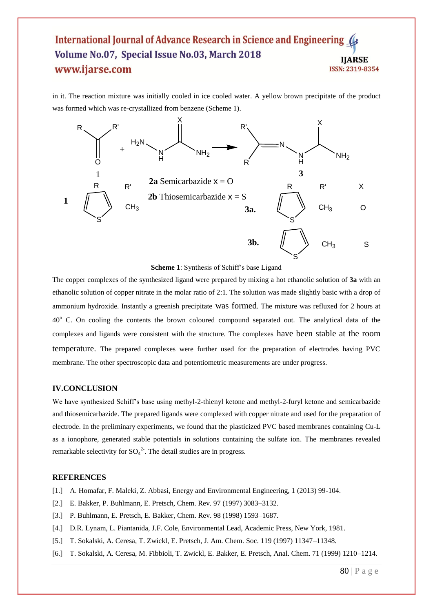# International Journal of Advance Research in Science and Engineering Volume No.07, Special Issue No.03, March 2018 **IIARSE** www.ijarse.com **ISSN: 2319-8354**

in it. The reaction mixture was initially cooled in ice cooled water. A yellow brown precipitate of the product was formed which was re-crystallized from benzene (Scheme 1).



**Scheme 1**: Synthesis of Schiff's base Ligand

The copper complexes of the synthesized ligand were prepared by mixing a hot ethanolic solution of **3a** with an ethanolic solution of copper nitrate in the molar ratio of 2:1. The solution was made slightly basic with a drop of ammonium hydroxide. Instantly a greenish precipitate was formed. The mixture was refluxed for 2 hours at 40<sup>o</sup> C. On cooling the contents the brown coloured compound separated out. The analytical data of the complexes and ligands were consistent with the structure. The complexes have been stable at the room temperature. The prepared complexes were further used for the preparation of electrodes having PVC membrane. The other spectroscopic data and potentiometric measurements are under progress.

# **IV.CONCLUSION**

We have synthesized Schiff's base using methyl-2-thienyl ketone and methyl-2-furyl ketone and semicarbazide and thiosemicarbazide. The prepared ligands were complexed with copper nitrate and used for the preparation of electrode. In the preliminary experiments, we found that the plasticized PVC based membranes containing Cu-L as a ionophore, generated stable potentials in solutions containing the sulfate ion. The membranes revealed remarkable selectivity for  $SO_4^2$ . The detail studies are in progress.

## **REFERENCES**

- [1.] A. Homafar, F. Maleki, Z. Abbasi, Energy and Environmental Engineering, 1 (2013) 99-104.
- [2.] E. Bakker, P. Buhlmann, E. Pretsch, Chem. Rev. 97 (1997) 3083–3132.
- [3.] P. Buhlmann, E. Pretsch, E. Bakker, Chem. Rev. 98 (1998) 1593–1687.
- [4.] D.R. Lynam, L. Piantanida, J.F. Cole, Environmental Lead, Academic Press, New York, 1981.
- [5.] T. Sokalski, A. Ceresa, T. Zwickl, E. Pretsch, J. Am. Chem. Soc. 119 (1997) 11347–11348.
- [6.] T. Sokalski, A. Ceresa, M. Fibbioli, T. Zwickl, E. Bakker, E. Pretsch, Anal. Chem. 71 (1999) 1210–1214.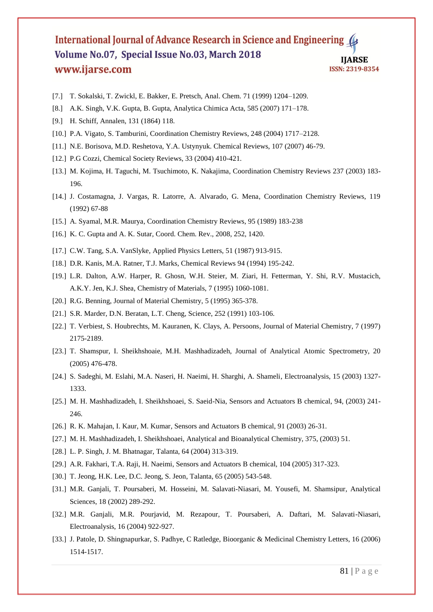# International Journal of Advance Research in Science and Engineering Volume No.07, Special Issue No.03, March 2018 **IJARSE** www.ijarse.com **ISSN: 2319-8354**

- [7.] T. Sokalski, T. Zwickl, E. Bakker, E. Pretsch, Anal. Chem. 71 (1999) 1204–1209.
- [8.] A.K. Singh, V.K. Gupta, B. Gupta, Analytica Chimica Acta, 585 (2007) 171–178.
- [9.] H. Schiff, Annalen, 131 (1864) 118.
- [10.] P.A. Vigato, S. Tamburini, Coordination Chemistry Reviews, 248 (2004) 1717–2128.
- [11.] N.E. Borisova, M.D. Reshetova, Y.A. Ustynyuk. Chemical Reviews, 107 (2007) 46-79.
- [12.] P.G Cozzi, Chemical Society Reviews, 33 (2004) 410-421.
- [13.] M. Kojima, H. Taguchi, M. Tsuchimoto, K. Nakajima, Coordination Chemistry Reviews 237 (2003) 183- 196.
- [14.] J. Costamagna, J. Vargas, R. Latorre, A. Alvarado, G. Mena, Coordination Chemistry Reviews, 119 (1992) 67-88
- [15.] A. Syamal, M.R. Maurya, Coordination Chemistry Reviews, 95 (1989) 183-238
- [16.] K. C. Gupta and A. K. Sutar, Coord. Chem. Rev., 2008, 252, 1420.
- [17.] C.W. Tang, S.A. VanSlyke, Applied Physics Letters, 51 (1987) 913-915.
- [18.] D.R. Kanis, M.A. Ratner, T.J. Marks, Chemical Reviews 94 (1994) 195-242.
- [19.] L.R. Dalton, A.W. Harper, R. Ghosn, W.H. Steier, M. Ziari, H. Fetterman, Y. Shi, R.V. Mustacich, A.K.Y. Jen, K.J. Shea, Chemistry of Materials, 7 (1995) 1060-1081.
- [20.] R.G. Benning, Journal of Material Chemistry, 5 (1995) 365-378.
- [21.] S.R. Marder, D.N. Beratan, L.T. Cheng, Science, 252 (1991) 103-106.
- [22.] T. Verbiest, S. Houbrechts, M. Kauranen, K. Clays, A. Persoons, Journal of Material Chemistry, 7 (1997) 2175-2189.
- [23.] T. Shamspur, I. Sheikhshoaie, M.H. Mashhadizadeh, Journal of Analytical Atomic Spectrometry, 20 (2005) 476-478.
- [24.] S. Sadeghi, M. Eslahi, M.A. Naseri, H. Naeimi, H. Sharghi, A. Shameli, Electroanalysis, 15 (2003) 1327- 1333.
- [25.] M. H. Mashhadizadeh, I. Sheikhshoaei, S. Saeid-Nia, Sensors and Actuators B chemical, 94, (2003) 241- 246.
- [26.] R. K. Mahajan, I. Kaur, M. Kumar, Sensors and Actuators B chemical, 91 (2003) 26-31.
- [27.] M. H. Mashhadizadeh, I. Sheikhshoaei, Analytical and Bioanalytical Chemistry, 375, (2003) 51.
- [28.] L. P. Singh, J. M. Bhatnagar, Talanta, 64 (2004) 313-319.
- [29.] A.R. Fakhari, T.A. Raji, H. Naeimi, Sensors and Actuators B chemical, 104 (2005) 317-323.
- [30.] T. Jeong, H.K. Lee, D.C. Jeong, S. Jeon, Talanta, 65 (2005) 543-548.
- [31.] M.R. Ganjali, T. Poursaberi, M. Hosseini, M. Salavati-Niasari, M. Yousefi, M. Shamsipur, Analytical Sciences, 18 (2002) 289-292.
- [32.] M.R. Ganjali, M.R. Pourjavid, M. Rezapour, T. Poursaberi, A. Daftari, M. Salavati-Niasari, Electroanalysis, 16 (2004) 922-927.
- [33.] J. Patole, D. Shingnapurkar, S. Padhye, C Ratledge, Bioorganic & Medicinal Chemistry Letters, 16 (2006) 1514-1517.